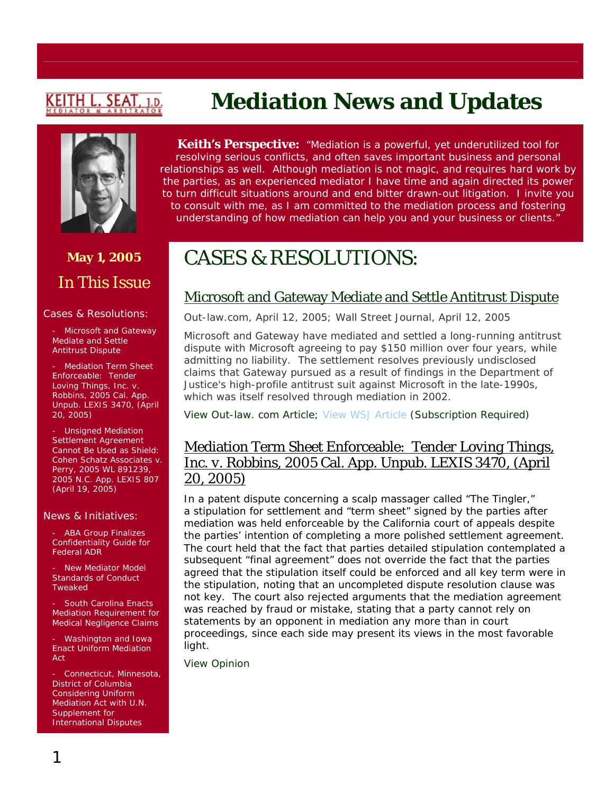# <u>KEITH L. SEAT</u>

## **May 1, 2005**  In This Issue

#### Cases & Resolutions:

Microsoft and Gateway Mediate and Settle Antitrust Dispute

- Mediation Term Sheet Enforceable: *Tender Loving Things, Inc. v. Robbins,* 2005 Cal. App. Unpub. LEXIS 3470, (April 20, 2005)

- Unsigned Mediation Settlement Agreement Cannot Be Used as Shield: *Cohen Schatz Associates v. Perry,* 2005 WL 891239, 2005 N.C. App. LEXIS 807 (April 19, 2005)

#### News & Initiatives:

**ABA Group Finalizes** Confidentiality Guide for Federal ADR

- New Mediator Model Standards of Conduct Tweaked

South Carolina Enacts Mediation Requirement for Medical Negligence Claims

- Washington and Iowa Enact Uniform Mediation Act

Connecticut, Minnesota, District of Columbia Considering Uniform Mediation Act with U.N. Supplement for International Disputes

**Keith's Perspective:** *"Mediation is a powerful, yet underutilized tool for resolving serious conflicts, and often saves important business and personal relationships as well. Although mediation is not magic, and requires hard work by the parties, as an experienced mediator I have time and again directed its power to turn difficult situations around and end bitter drawn-out litigation. I invite you to consult with me, as I am committed to the mediation process and fostering understanding of how mediation can help you and your business or clients."*

**Mediation News and Updates** 

## CASES & RESOLUTIONS:

### Microsoft and Gateway Mediate and Settle Antitrust Dispute

*Out-law.com,* April 12, 2005*; Wall Street Journal,* April 12, 2005

Microsoft and Gateway have mediated and settled a long-running antitrust dispute with Microsoft agreeing to pay \$150 million over four years, while admitting no liability. The settlement resolves previously undisclosed claims that Gateway pursued as a result of findings in the Department of Justice's high-profile antitrust suit against Microsoft in the late-1990s, which was itself resolved through mediation in 2002.

[View Out-law. com Article;](http://www.out-law.com/php/page.php?page_id=microsoftsettlesga1113312125&area=news) [View WSJ Article](http://online.wsj.com/article/0,,SB111322438044603390-search,00.html?collection=wsjie%2F30day&vql_string=microsoft+and+gateway%3Cin%3E%28article%2Dbody%29) (Subscription Required)

#### Mediation Term Sheet Enforceable: *Tender Loving Things, Inc. v. Robbins,* 2005 Cal. App. Unpub. LEXIS 3470, (April 20, 2005)

In a patent dispute concerning a scalp massager called "The Tingler," a stipulation for settlement and "term sheet" signed by the parties after mediation was held enforceable by the California court of appeals despite the parties' intention of completing a more polished settlement agreement. The court held that the fact that parties detailed stipulation contemplated a subsequent "final agreement" does not override the fact that the parties agreed that the stipulation itself could be enforced and all key term were in the stipulation, noting that an uncompleted dispute resolution clause was not key. The court also rejected arguments that the mediation agreement was reached by fraud or mistake, stating that a party cannot rely on statements by an opponent in mediation any more than in court proceedings, since each side may present its views in the most favorable light.

[View Opinion](http://www.courtinfo.ca.gov/opinions/nonpub/A103989.DOC)

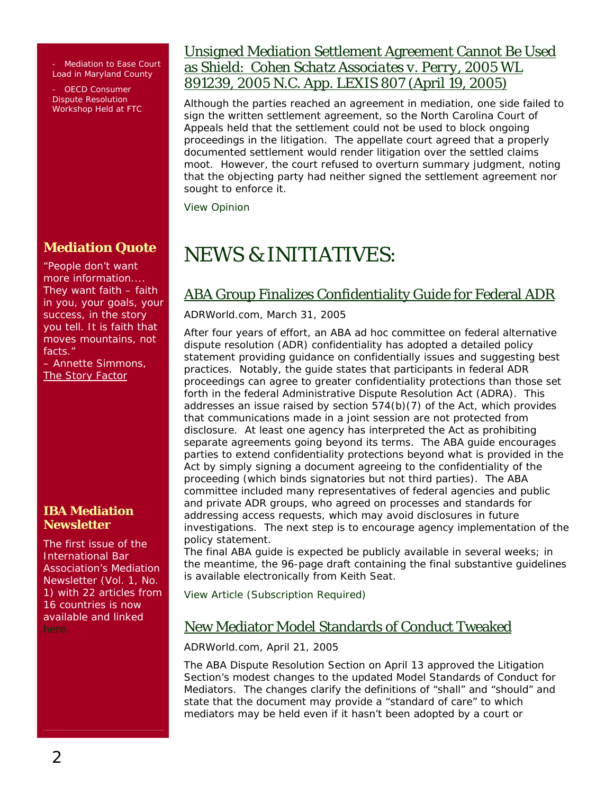**Mediation to Ease Court** Load in Maryland County

OECD Consumer Dispute Resolution Workshop Held at FTC

### **Mediation Quote**

People don't want more information.... They want faith – faith in you, your goals, your success, in the story you tell. It is faith that moves mountains, not facts."

– Annette Simmons, The Story Factor

#### **IBA Mediation Newsletter**

The first issue of the International Bar Association's Mediation Newsletter (Vol. 1, No. 1) with 22 articles from 16 countries is now available and linked

#### Unsigned Mediation Settlement Agreement Cannot Be Used as Shield: *Cohen Schatz Associates v. Perry,* 2005 WL 891239, 2005 N.C. App. LEXIS 807 (April 19, 2005)

Although the parties reached an agreement in mediation, one side failed to sign the written settlement agreement, so the North Carolina Court of Appeals held that the settlement could not be used to block ongoing proceedings in the litigation. The appellate court agreed that a properly documented settlement would render litigation over the settled claims moot. However, the court refused to overturn summary judgment, noting that the objecting party had neither signed the settlement agreement nor sought to enforce it.

[View Opinion](http://www.aoc.state.nc.us/www/public/coa/dsheets/040631-1.htm)

# NEWS & INITIATIVES:

## ABA Group Finalizes Confidentiality Guide for Federal ADR

*ADRWorld.com,* March 31, 2005

After four years of effort, an ABA ad hoc committee on federal alternative dispute resolution (ADR) confidentiality has adopted a detailed policy statement providing guidance on confidentially issues and suggesting best practices. Notably, the guide states that participants in federal ADR proceedings can agree to greater confidentiality protections than those set forth in the federal Administrative Dispute Resolution Act (ADRA). This addresses an issue raised by section 574(b)(7) of the Act, which provides that communications made in a joint session are not protected from disclosure. At least one agency has interpreted the Act as prohibiting separate agreements going beyond its terms. The ABA guide encourages parties to extend confidentiality protections beyond what is provided in the Act by simply signing a document agreeing to the confidentiality of the proceeding (which binds signatories but not third parties). The ABA committee included many representatives of federal agencies and public and private ADR groups, who agreed on processes and standards for addressing access requests, which may avoid disclosures in future investigations. The next step is to encourage agency implementation of the policy statement.

The final ABA guide is expected be publicly available in several weeks; in the meantime, the 96-page draft containing the final substantive guidelines is available electronically from Keith Seat.

[View Article](http://www.adrworld.com/sp.asp?id=38208) (Subscription Required)

### New Mediator Model Standards of Conduct Tweaked

*ADRWorld.com*, April 21, 2005

The ABA Dispute Resolution Section on April 13 approved the Litigation Section's modest changes to the updated Model Standards of Conduct for Mediators. The changes clarify the definitions of "shall" and "should" and state that the document may provide a "standard of care" to which mediators may be held even if it hasn't been adopted by a court or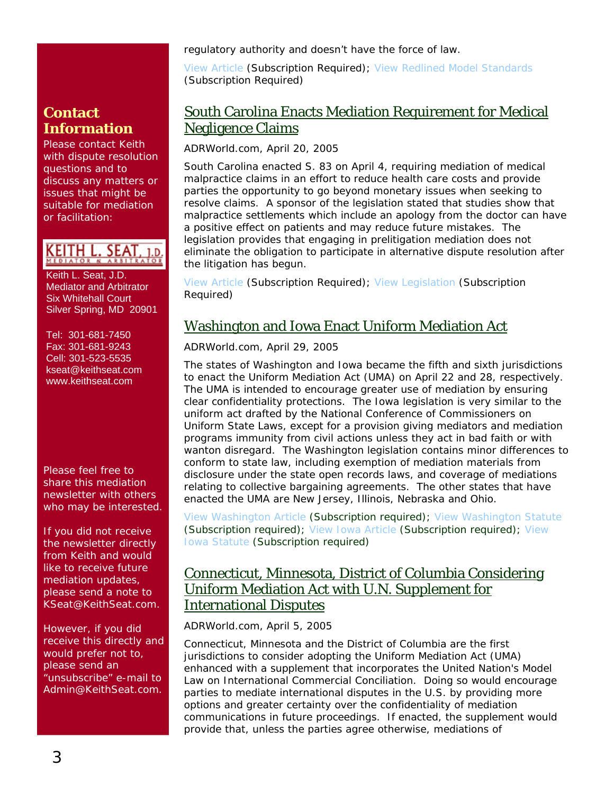regulatory authority and doesn't have the force of law.

[View Article](http://www.adrworld.com/sp.asp?id=38293) (Subscription Required); [View Redlined Model Standards](http://www.adrworld.com/si.asp?id=1755) (Subscription Required)

#### South Carolina Enacts Mediation Requirement for Medical Negligence Claims

*ADRWorld.com*, April 20, 2005

South Carolina enacted S. 83 on April 4, requiring mediation of medical malpractice claims in an effort to reduce health care costs and provide parties the opportunity to go beyond monetary issues when seeking to resolve claims. A sponsor of the legislation stated that studies show that malpractice settlements which include an apology from the doctor can have a positive effect on patients and may reduce future mistakes. The legislation provides that engaging in prelitigation mediation does not eliminate the obligation to participate in alternative dispute resolution after the litigation has begun.

[View Article](http://www.adrworld.com/sp.asp?id=38273) (Subscription Required); [View Legislation](http://www.adrworld.com/si.asp?id=1754) (Subscription Required)

### Washington and Iowa Enact Uniform Mediation Act

*ADRWorld.com*, April 29, 2005

The states of Washington and Iowa became the fifth and sixth jurisdictions to enact the Uniform Mediation Act (UMA) on April 22 and 28, respectively. The UMA is intended to encourage greater use of mediation by ensuring clear confidentiality protections. The Iowa legislation is very similar to the uniform act drafted by the National Conference of Commissioners on Uniform State Laws, except for a provision giving mediators and mediation programs immunity from civil actions unless they act in bad faith or with wanton disregard. The Washington legislation contains minor differences to conform to state law, including exemption of mediation materials from disclosure under the state open records laws, and coverage of mediations relating to collective bargaining agreements. The other states that have enacted the UMA are New Jersey, Illinois, Nebraska and Ohio.

[View Washington Article](http://www.adrworld.com/sp.asp?id=38336) (Subscription required); [View Washington Statute](http://www.adrworld.com/si.asp?id=1760) (Subscription required); [View Iowa Article](http://www.adrworld.com/sp.asp?id=38352) (Subscription required); [View](http://www.adrworld.com/si.asp?id=1762)  [Iowa Statute](http://www.adrworld.com/si.asp?id=1762) (Subscription required)

#### Connecticut, Minnesota, District of Columbia Considering Uniform Mediation Act with U.N. Supplement for International Disputes

*ADRWorld.com,* April 5, 2005

Connecticut, Minnesota and the District of Columbia are the first jurisdictions to consider adopting the Uniform Mediation Act (UMA) enhanced with a supplement that incorporates the United Nation's Model Law on International Commercial Conciliation. Doing so would encourage parties to mediate international disputes in the U.S. by providing more options and greater certainty over the confidentiality of mediation communications in future proceedings. If enacted, the supplement would provide that, unless the parties agree otherwise, mediations of

## **Contact Information**

Please contact Keith with dispute resolution questions and to discuss any matters or issues that might be suitable for mediation or facilitation:

KEITH L. SEAT, 1.D.

 Keith L. Seat, J.D. Mediator and Arbitrator Six Whitehall Court Silver Spring, MD 20901

 Tel: 301-681-7450 Fax: 301-681-9243 Cell: 301-523-5535 [kseat@keithseat.com](mailto:kseat@keithseat.com) [www.keithseat.com](http://www.keithseat.com/)

Please feel free to share this mediation newsletter with others who may be interested.

If you did not receive the newsletter directly from Keith and would like to receive future mediation updates, please send a note to KSeat@KeithSeat.com.

However, if you did receive this directly and would prefer not to, please send an 'unsubscribe" e-mail to Admin@KeithSeat.com.